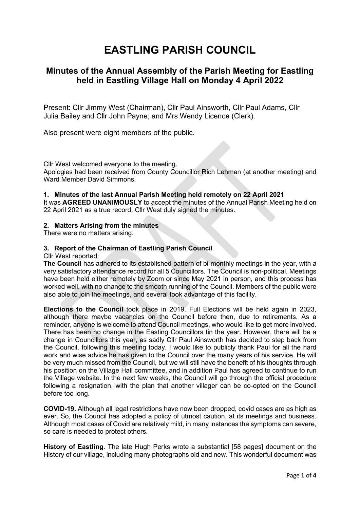# EASTLING PARISH COUNCIL

## Minutes of the Annual Assembly of the Parish Meeting for Eastling held in Eastling Village Hall on Monday 4 April 2022

Present: Cllr Jimmy West (Chairman), Cllr Paul Ainsworth, Cllr Paul Adams, Cllr Julia Bailey and Cllr John Payne; and Mrs Wendy Licence (Clerk).

Also present were eight members of the public.

Cllr West welcomed everyone to the meeting. Apologies had been received from County Councillor Rich Lehman (at another meeting) and Ward Member David Simmons.

#### 1. Minutes of the last Annual Parish Meeting held remotely on 22 April 2021

It was AGREED UNANIMOUSLY to accept the minutes of the Annual Parish Meeting held on 22 April 2021 as a true record, Cllr West duly signed the minutes.

#### 2. Matters Arising from the minutes

There were no matters arising.

#### 3. Report of the Chairman of Eastling Parish Council

Cllr West reported:

The Council has adhered to its established pattern of bi-monthly meetings in the year, with a very satisfactory attendance record for all 5 Councillors. The Council is non-political. Meetings have been held either remotely by Zoom or since May 2021 in person, and this process has worked well, with no change to the smooth running of the Council. Members of the public were also able to join the meetings, and several took advantage of this facility.

Elections to the Council took place in 2019. Full Elections will be held again in 2023, although there maybe vacancies on the Council before then, due to retirements. As a reminder, anyone is welcome to attend Council meetings, who would like to get more involved. There has been no change in the Easting Councillors tin the year. However, there will be a change in Councillors this year, as sadly Cllr Paul Ainsworth has decided to step back from the Council, following this meeting today. I would like to publicly thank Paul for all the hard work and wise advice he has given to the Council over the many years of his service. He will be very much missed from the Council, but we will still have the benefit of his thoughts through his position on the Village Hall committee, and in addition Paul has agreed to continue to run the Village website. In the next few weeks, the Council will go through the official procedure following a resignation, with the plan that another villager can be co-opted on the Council before too long.

COVID-19. Although all legal restrictions have now been dropped, covid cases are as high as ever. So, the Council has adopted a policy of utmost caution, at its meetings and business. Although most cases of Covid are relatively mild, in many instances the symptoms can severe, so care is needed to protect others.

History of Eastling. The late Hugh Perks wrote a substantial [58 pages] document on the History of our village, including many photographs old and new. This wonderful document was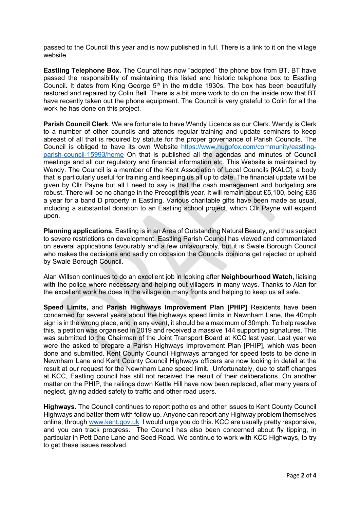passed to the Council this year and is now published in full. There is a link to it on the village website.

Eastling Telephone Box. The Council has now "adopted" the phone box from BT. BT have passed the responsibility of maintaining this listed and historic telephone box to Eastling Council. It dates from King George  $5<sup>th</sup>$  in the middle 1930s. The box has been beautifully restored and repaired by Colin Bell. There is a bit more work to do on the inside now that BT have recently taken out the phone equipment. The Council is very grateful to Colin for all the work he has done on this project.

Parish Council Clerk. We are fortunate to have Wendy Licence as our Clerk. Wendy is Clerk to a number of other councils and attends regular training and update seminars to keep abreast of all that is required by statute for the proper governance of Parish Councils. The Council is obliged to have its own Website https://www.hugofox.com/community/eastlingparish-council-15993/home On that is published all the agendas and minutes of Council meetings and all our regulatory and financial information etc. This Website is maintained by Wendy. The Council is a member of the Kent Association of Local Councils [KALC], a body that is particularly useful for training and keeping us all up to date. The financial update will be given by Cllr Payne but all I need to say is that the cash management and budgeting are robust. There will be no change in the Precept this year. It will remain about £5,100, being £35 a year for a band D property in Eastling. Various charitable gifts have been made as usual, including a substantial donation to an Eastling school project, which Cllr Payne will expand upon.

Planning applications. Eastling is in an Area of Outstanding Natural Beauty, and thus subject to severe restrictions on development. Eastling Parish Council has viewed and commentated on several applications favourably and a few unfavourably, but it is Swale Borough Council who makes the decisions and sadly on occasion the Councils opinions get rejected or upheld by Swale Borough Council.

Alan Willson continues to do an excellent job in looking after Neighbourhood Watch, liaising with the police where necessary and helping out villagers in many ways. Thanks to Alan for the excellent work he does in the village on many fronts and helping to keep us all safe.

Speed Limits, and Parish Highways Improvement Plan [PHIP] Residents have been concerned for several years about the highways speed limits in Newnham Lane, the 40mph sign is in the wrong place, and in any event, it should be a maximum of 30mph. To help resolve this, a petition was organised in 2019 and received a massive 144 supporting signatures. This was submitted to the Chairman of the Joint Transport Board at KCC last year. Last year we were the asked to prepare a Parish Highways Improvement Plan [PHIP], which was been done and submitted. Kent County Council Highways arranged for speed tests to be done in Newnham Lane and Kent County Council Highways officers are now looking in detail at the result at our request for the Newnham Lane speed limit. Unfortunately, due to staff changes at KCC, Eastling council has still not received the result of their deliberations. On another matter on the PHIP, the railings down Kettle Hill have now been replaced, after many years of neglect, giving added safety to traffic and other road users.

Highways. The Council continues to report potholes and other issues to Kent County Council Highways and batter them with follow up. Anyone can report any Highway problem themselves online, through www.kent.gov.uk I would urge you do this. KCC are usually pretty responsive, and you can track progress. The Council has also been concerned about fly tipping, in particular in Pett Dane Lane and Seed Road. We continue to work with KCC Highways, to try to get these issues resolved.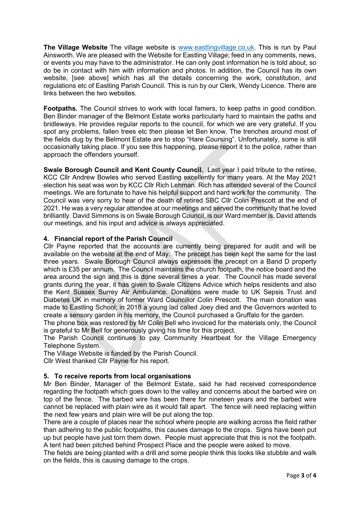The Village Website The village website is www.eastlingvillage.co.uk. This is run by Paul Ainsworth. We are pleased with the Website for Eastling Village; feed in any comments, news, or events you may have to the administrator. He can only post information he is told about, so do be in contact with him with information and photos. In addition, the Council has its own website. [see above] which has all the details concerning the work, constitution, and regulations etc of Eastling Parish Council. This is run by our Clerk, Wendy Licence. There are links between the two websites.

Footpaths. The Council strives to work with local famers, to keep paths in good condition. Ben Binder manager of the Belmont Estate works particularly hard to maintain the paths and bridleways. He provides regular reports to the council, for which we are very grateful. If you spot any problems, fallen trees etc then please let Ben know. The trenches around most of the fields dug by the Belmont Estate are to stop "Hare Coursing". Unfortunately, some is still occasionally taking place. If you see this happening, please report it to the police, rather than approach the offenders yourself.

Swale Borough Council and Kent County Council. Last year I paid tribute to the retiree, KCC Cllr Andrew Bowles who served Eastling excellently for many years. At the May 2021 election his seat was won by KCC Cllr Rich Lehman. Rich has attended several of the Council meetings. We are fortunate to have his helpful support and hard work for the community. The Council was very sorry to hear of the death of retired SBC Cllr Colin Prescott at the end of 2021. He was a very regular attendee at our meetings and served the community that he loved brilliantly. David Simmons is on Swale Borough Council, is our Ward member is. David attends our meetings, and his input and advice is always appreciated.

### 4. Financial report of the Parish Council

Cllr Payne reported that the accounts are currently being prepared for audit and will be available on the website at the end of May. The precept has been kept the same for the last three years. Swale Borough Council always expresses the precept on a Band D property which is £35 per annum. The Council maintains the church footpath, the notice board and the area around the sign and this is done several times a year. The Council has made several grants during the year, it has given to Swale Citizens Advice which helps residents and also the Kent Sussex Surrey Air Ambulance. Donations were made to UK Sepsis Trust and Diabetes UK in memory of former Ward Councillor Colin Prescott. The main donation was made to Eastling School; in 2018 a young lad called Joey died and the Governors wanted to create a sensory garden in his memory, the Council purchased a Gruffalo for the garden.

The phone box was restored by Mr Colin Bell who invoiced for the materials only, the Council is grateful to Mr Bell for generously giving his time for this project.

The Parish Council continues to pay Community Heartbeat for the Village Emergency Telephone System.

The Village Website is funded by the Parish Council.

Cllr West thanked Cllr Payne for his report.

#### 5. To receive reports from local organisations

Mr Ben Binder, Manager of the Belmont Estate, said he had received correspondence regarding the footpath which goes down to the valley and concerns about the barbed wire on top of the fence. The barbed wire has been there for nineteen years and the barbed wire cannot be replaced with plain wire as it would fall apart. The fence will need replacing within the next few years and plain wire will be put along the top.

There are a couple of places near the school where people are walking across the field rather than adhering to the public footpaths, this causes damage to the crops. Signs have been put up but people have just torn them down. People must appreciate that this is not the footpath. A tent had been pitched behind Prospect Place and the people were asked to move.

The fields are being planted with a drill and some people think this looks like stubble and walk on the fields, this is causing damage to the crops.